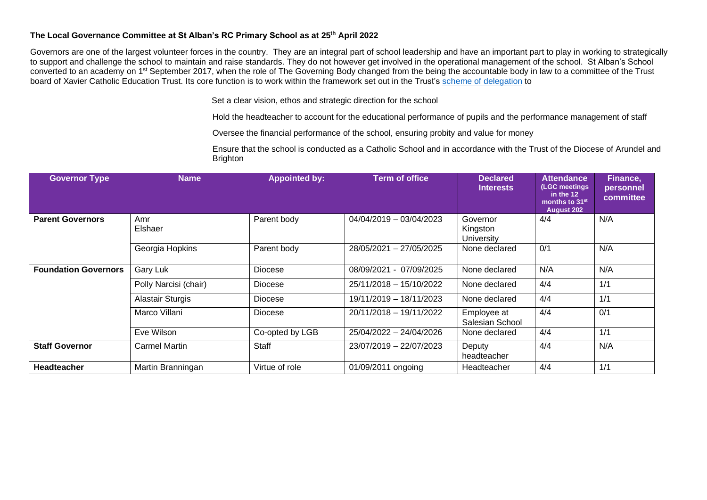## **The Local Governance Committee at St Alban's RC Primary School as at 25th April 2022**

Governors are one of the largest volunteer forces in the country. They are an integral part of school leadership and have an important part to play in working to strategically to support and challenge the school to maintain and raise standards. They do not however get involved in the operational management of the school. St Alban's School converted to an academy on 1<sup>st</sup> September 2017, when the role of The Governing Body changed from the being the accountable body in law to a committee of the Trust board of Xavier Catholic Education Trust. Its core function is to work within the framework set out in the Trust's [scheme of delegation](https://www.xaviercet.org.uk/documents/Xavier%20Scheme%20of%20Delegation.pdf) to

Set a clear vision, ethos and strategic direction for the school

Hold the headteacher to account for the educational performance of pupils and the performance management of staff

Oversee the financial performance of the school, ensuring probity and value for money

Ensure that the school is conducted as a Catholic School and in accordance with the Trust of the Diocese of Arundel and **Brighton** 

| <b>Governor Type</b>        | <b>Name</b>             | <b>Appointed by:</b> | <b>Term of office</b>     | <b>Declared</b><br><b>Interests</b> | <b>Attendance</b><br>(LGC meetings<br>in the $12$<br>months to 31 <sup>st</sup><br><b>August 202</b> | Finance,<br>personnel<br>committee |
|-----------------------------|-------------------------|----------------------|---------------------------|-------------------------------------|------------------------------------------------------------------------------------------------------|------------------------------------|
| <b>Parent Governors</b>     | Amr<br>Elshaer          | Parent body          | $04/04/2019 - 03/04/2023$ | Governor<br>Kingston<br>University  | 4/4                                                                                                  | N/A                                |
|                             | Georgia Hopkins         | Parent body          | 28/05/2021 - 27/05/2025   | None declared                       | 0/1                                                                                                  | N/A                                |
| <b>Foundation Governors</b> | Gary Luk                | <b>Diocese</b>       | 08/09/2021 - 07/09/2025   | None declared                       | N/A                                                                                                  | N/A                                |
|                             | Polly Narcisi (chair)   | Diocese              | 25/11/2018 - 15/10/2022   | None declared                       | 4/4                                                                                                  | 1/1                                |
|                             | <b>Alastair Sturgis</b> | <b>Diocese</b>       | 19/11/2019 - 18/11/2023   | None declared                       | 4/4                                                                                                  | 1/1                                |
|                             | Marco Villani           | Diocese              | 20/11/2018 - 19/11/2022   | Employee at<br>Salesian School      | 4/4                                                                                                  | 0/1                                |
|                             | Eve Wilson              | Co-opted by LGB      | 25/04/2022 - 24/04/2026   | None declared                       | 4/4                                                                                                  | 1/1                                |
| <b>Staff Governor</b>       | Carmel Martin           | <b>Staff</b>         | 23/07/2019 - 22/07/2023   | Deputy<br>headteacher               | 4/4                                                                                                  | N/A                                |
| <b>Headteacher</b>          | Martin Branningan       | Virtue of role       | 01/09/2011 ongoing        | Headteacher                         | 4/4                                                                                                  | 1/1                                |